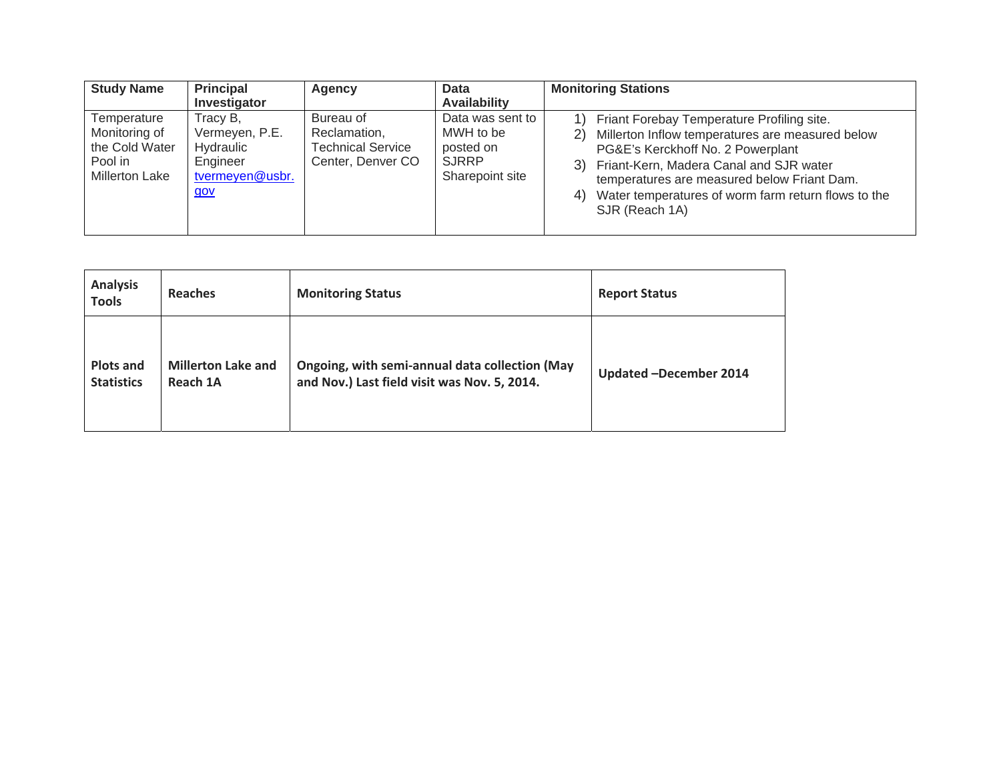| <b>Study Name</b>                                                                  | <b>Principal</b>                                                              | Agency                                                                     | <b>Data</b>                                                                   | <b>Monitoring Stations</b>                                                                                                                                                                                                                                                                                               |  |
|------------------------------------------------------------------------------------|-------------------------------------------------------------------------------|----------------------------------------------------------------------------|-------------------------------------------------------------------------------|--------------------------------------------------------------------------------------------------------------------------------------------------------------------------------------------------------------------------------------------------------------------------------------------------------------------------|--|
|                                                                                    | Investigator                                                                  |                                                                            | <b>Availability</b>                                                           |                                                                                                                                                                                                                                                                                                                          |  |
| Temperature<br>Monitoring of<br>the Cold Water<br>Pool in<br><b>Millerton Lake</b> | Tracy B,<br>Vermeyen, P.E.<br>Hydraulic<br>Engineer<br>tvermeyen@usbr.<br>gov | Bureau of<br>Reclamation,<br><b>Technical Service</b><br>Center, Denver CO | Data was sent to<br>MWH to be<br>posted on<br><b>SJRRP</b><br>Sharepoint site | 1) Friant Forebay Temperature Profiling site.<br>Millerton Inflow temperatures are measured below<br>2)<br>PG&E's Kerckhoff No. 2 Powerplant<br>3) Friant-Kern, Madera Canal and SJR water<br>temperatures are measured below Friant Dam.<br>Water temperatures of worm farm return flows to the<br>4)<br>SJR (Reach 1A) |  |

| <b>Analysis</b><br><b>Tools</b> | <b>Reaches</b>            | <b>Monitoring Status</b>                       | <b>Report Status</b>   |
|---------------------------------|---------------------------|------------------------------------------------|------------------------|
| <b>Plots and</b>                | <b>Millerton Lake and</b> | Ongoing, with semi-annual data collection (May | Updated -December 2014 |
| <b>Statistics</b>               | Reach 1A                  | and Nov.) Last field visit was Nov. 5, 2014.   |                        |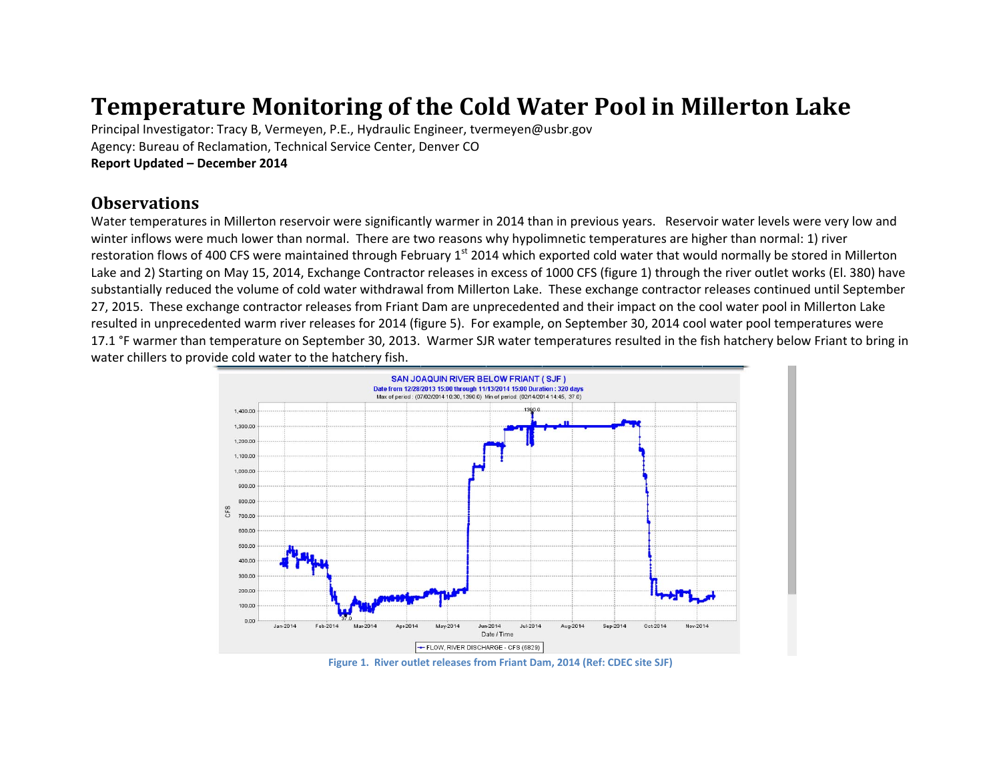## **Temperature Monitoring of the Cold Water Pool in Millerton Lake**

Principal Investigator: Tracy B, Vermeyen, P.E., Hydraulic Engineer, tvermeyen@usbr.gov Agency: Bureau of Reclamation, Technical Service Center, Denver CO **Report Updated – December 2014**

## **Observations**

Water temperatures in Millerton reservoir were significantly warmer in 2014 than in previous years. Reservoir water levels were very low and winter inflows were much lower than normal. There are two reasons why hypolimnetic temperatures are higher than normal: 1) river restoration flows of 400 CFS were maintained through February 1<sup>st</sup> 2014 which exported cold water that would normally be stored in Millerton Lake and 2) Starting on May 15, 2014, Exchange Contractor releases in excess of 1000 CFS (figure 1) through the river outlet works (El. 380) have substantially reduced the volume of cold water withdrawal from Millerton Lake. These exchange contractor releases continued until September 27, 2015. These exchange contractor releases from Friant Dam are unprecedented and their impact on the cool water pool in Millerton Lake resulted in unprecedented warm river releases for 2014 (figure 5). For example, on September 30, 2014 cool water pool temperatures were 17.1 °F warmer than temperature on September 30, 2013. Warmer SJR water temperatures resulted in the fish hatchery below Friant to bring in water chillers to provide cold water to the hatchery fish.



**Figure 1. River outlet releases from Friant Dam, 2014 (Ref: CDEC site SJF)**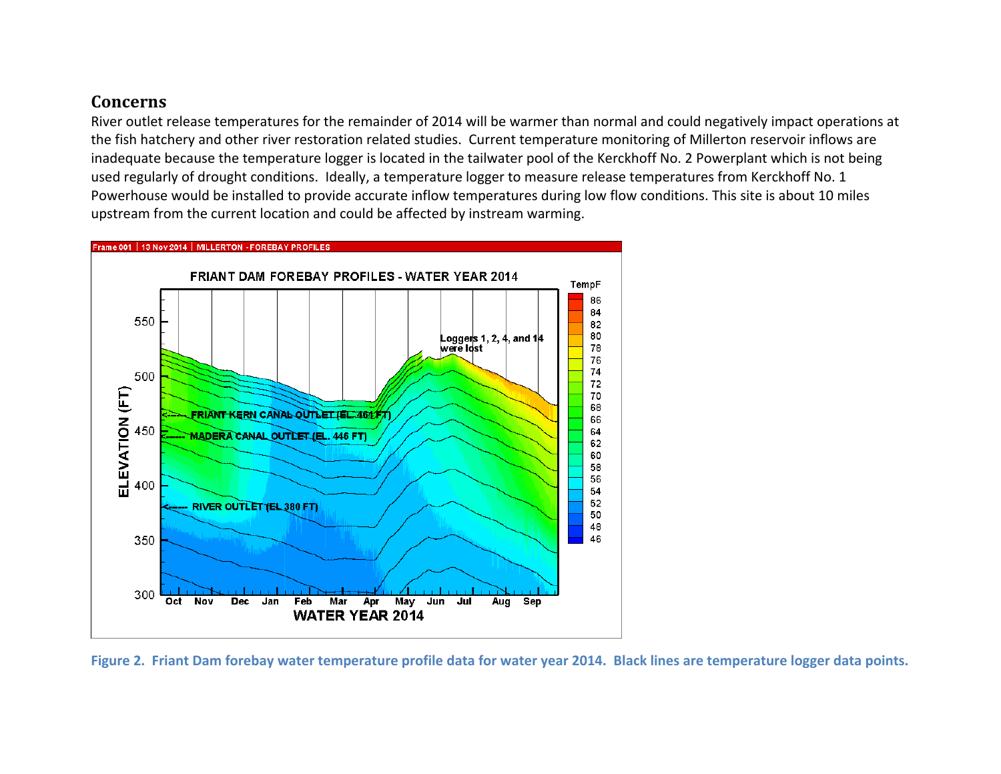## **Concerns**

River outlet release temperatures for the remainder of 2014 will be warmer than normal and could negatively impact operations at the fish hatchery and other river restoration related studies. Current temperature monitoring of Millerton reservoir inflows are inadequate because the temperature logger is located in the tailwater pool of the Kerckhoff No. 2 Powerplant which is not being used regularly of drought conditions. Ideally, <sup>a</sup> temperature logger to measure release temperatures from Kerckhoff No. 1 Powerhouse would be installed to provide accurate inflow temperatures during low flow conditions. This site is about 10 miles upstream from the current location and could be affected by instream warming.



Figure 2. Friant Dam forebay water temperature profile data for water year 2014. Black lines are temperature logger data points.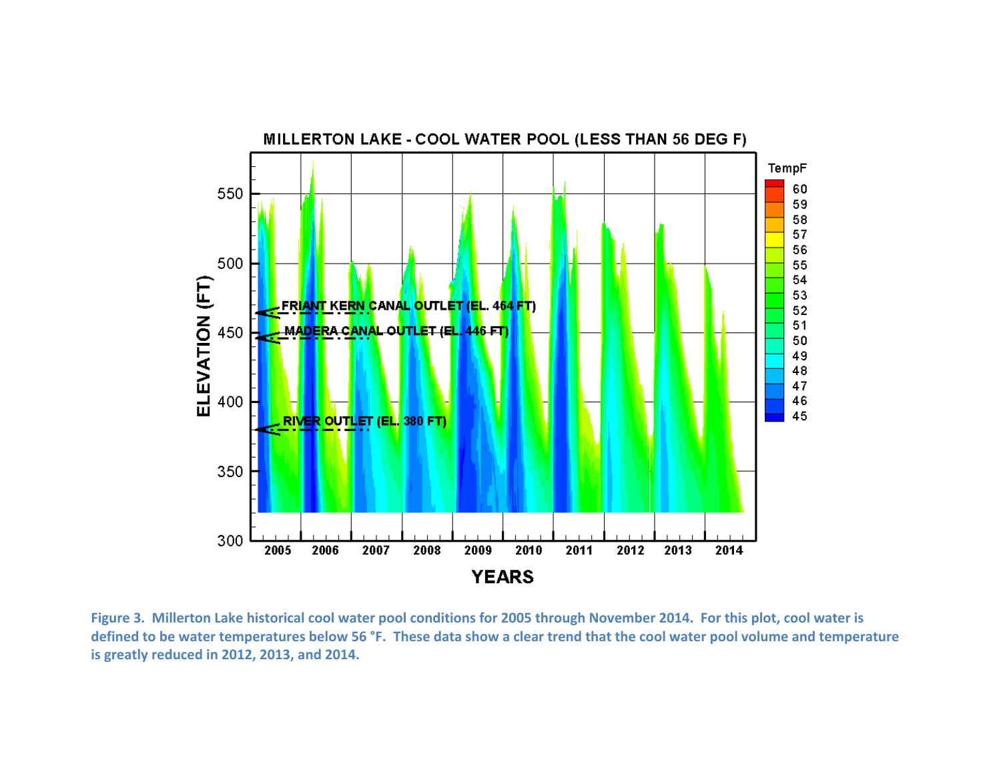

Figure 3. Millerton Lake historical cool water pool conditions for 2005 through November 2014. For this plot, cool water is defined to be water temperatures below 56 °F. These data show a clear trend that the cool water pool volume and temperature **is greatly reduced in 2012, 2013, and 2014.**